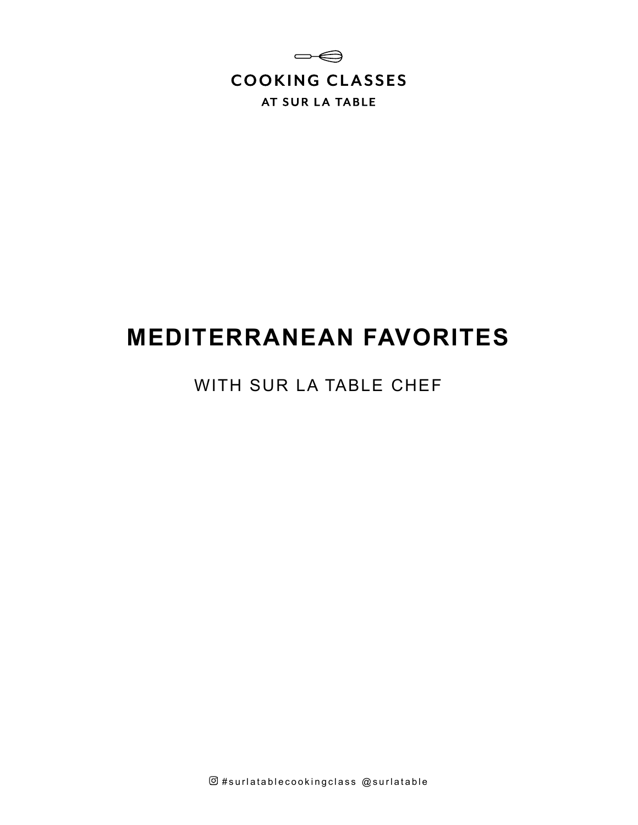

# **MEDITERRANEAN FAVORITES**

### WITH SUR LA TABLE CHEF

 $@$ #surlatablecookingclass  $@$ surlatable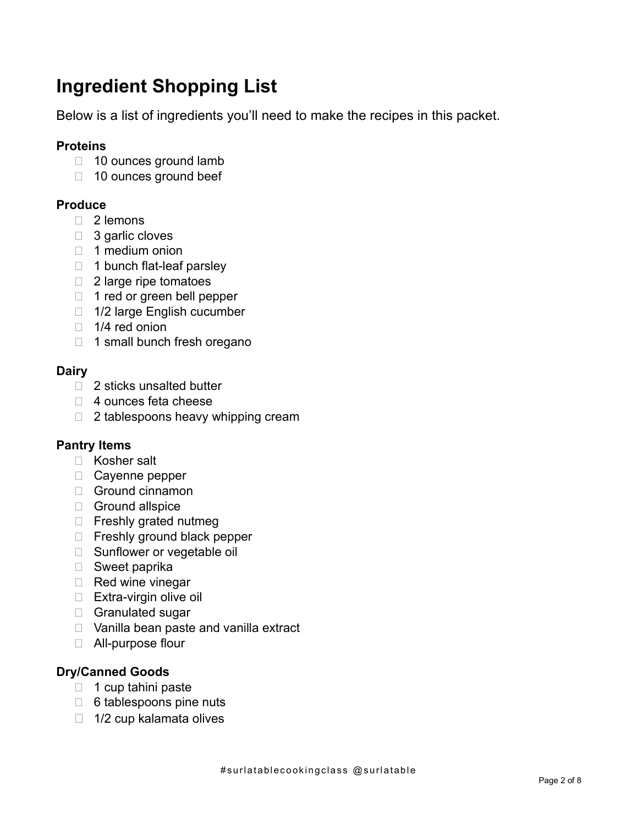# **Ingredient Shopping List**

Below is a list of ingredients you'll need to make the recipes in this packet.

#### **Proteins**

- □ 10 ounces ground lamb
- $\Box$  10 ounces ground beef

#### **Produce**

- □ 2 lemons
- □ 3 garlic cloves
- $\Box$  1 medium onion
- $\Box$  1 bunch flat-leaf parsley
- $\Box$  2 large ripe tomatoes
- 1 red or green bell pepper
- □ 1/2 large English cucumber
- $\Box$  1/4 red onion
- $\Box$  1 small bunch fresh oregano

#### **Dairy**

- □ 2 sticks unsalted butter
- □ 4 ounces feta cheese
- $\Box$  2 tablespoons heavy whipping cream

#### **Pantry Items**

- □ Kosher salt
- □ Cayenne pepper
- Ground cinnamon
- Ground allspice
- $\Box$  Freshly grated nutmeg
- □ Freshly ground black pepper
- □ Sunflower or vegetable oil
- □ Sweet paprika
- $\Box$  Red wine vinegar
- $\Box$  Extra-virgin olive oil
- □ Granulated sugar
- □ Vanilla bean paste and vanilla extract
- □ All-purpose flour

#### **Dry/Canned Goods**

- $\Box$  1 cup tahini paste
- $\Box$  6 tablespoons pine nuts
- $\Box$  1/2 cup kalamata olives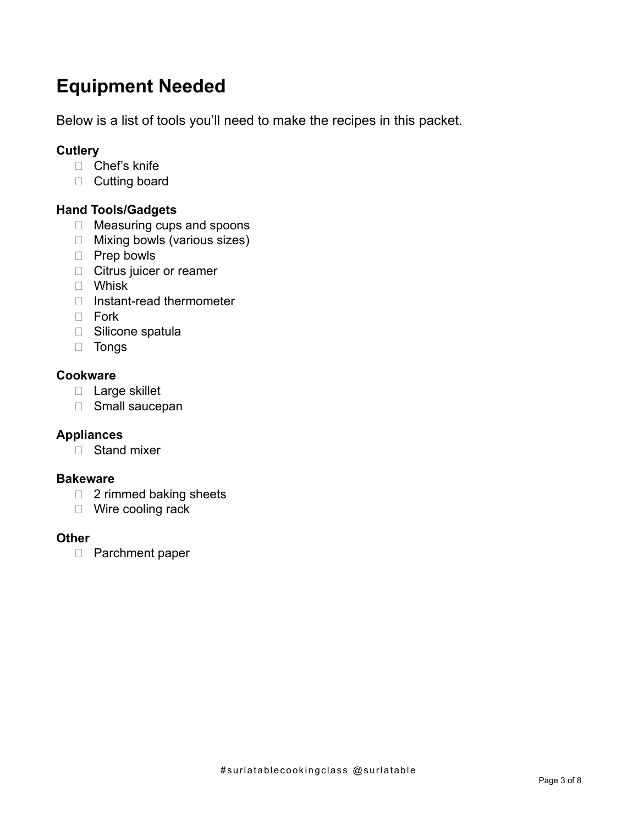# **Equipment Needed**

Below is a list of tools you'll need to make the recipes in this packet.

#### **Cutlery**

- □ Chef's knife
- D Cutting board

#### **Hand Tools/Gadgets**

- □ Measuring cups and spoons
- □ Mixing bowls (various sizes)
- □ Prep bowls
- **Citrus juicer or reamer**
- Whisk
- □ Instant-read thermometer
- $\Box$  Fork
- □ Silicone spatula
- Tongs

#### **Cookware**

- D Large skillet
- □ Small saucepan

#### **Appliances**

□ Stand mixer

#### **Bakeware**

- □ 2 rimmed baking sheets
- □ Wire cooling rack

#### **Other**

□ Parchment paper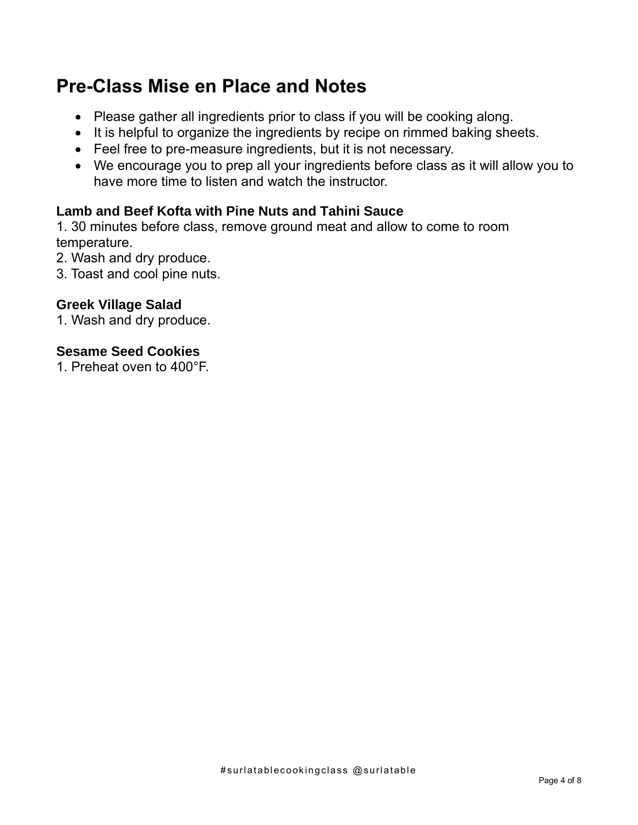### **Pre-Class Mise en Place and Notes**

- Please gather all ingredients prior to class if you will be cooking along.
- It is helpful to organize the ingredients by recipe on rimmed baking sheets.
- Feel free to pre-measure ingredients, but it is not necessary.
- We encourage you to prep all your ingredients before class as it will allow you to have more time to listen and watch the instructor.

### **Lamb and Beef Kofta with Pine Nuts and Tahini Sauce**

1. 30 minutes before class, remove ground meat and allow to come to room temperature.

- 2. Wash and dry produce.
- 3. Toast and cool pine nuts.

### **Greek Village Salad**

1. Wash and dry produce.

#### **Sesame Seed Cookies**

1. Preheat oven to 400°F.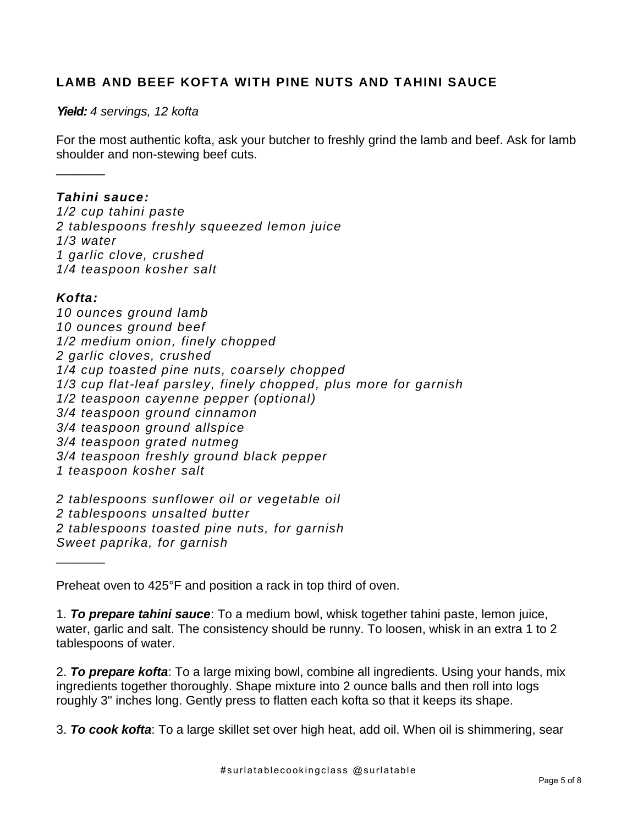#### **LAMB AND BEEF KOFTA WITH PINE NUTS AND TAHINI SAUCE**

#### *Yield: 4 servings, 12 kofta*

For the most authentic kofta, ask your butcher to freshly grind the lamb and beef. Ask for lamb shoulder and non-stewing beef cuts.

#### *Tahini sauce:*

*1/2 cup tahini paste 2 tablespoons freshly squeezed lemon juice 1/3 water 1 garlic clove, crushed 1/4 teaspoon kosher salt*

#### *Kofta:*

 $\frac{1}{2}$ 

*10 ounces ground lamb 10 ounces ground beef 1/2 medium onion, finely chopped 2 garlic cloves, crushed 1/4 cup toasted pine nuts, coarsely chopped 1/3 cup flat-leaf parsley, finely chopped, plus more for garnish 1/2 teaspoon cayenne pepper (optional) 3/4 teaspoon ground cinnamon 3/4 teaspoon ground allspice 3/4 teaspoon grated nutmeg 3/4 teaspoon freshly ground black pepper 1 teaspoon kosher salt*

*2 tablespoons sunflower oil or vegetable oil 2 tablespoons unsalted butter 2 tablespoons toasted pine nuts, for garnish Sweet paprika, for garnish*  $\frac{1}{2}$ 

Preheat oven to 425°F and position a rack in top third of oven.

1. *To prepare tahini sauce*: To a medium bowl, whisk together tahini paste, lemon juice, water, garlic and salt. The consistency should be runny. To loosen, whisk in an extra 1 to 2 tablespoons of water.

2. *To prepare kofta*: To a large mixing bowl, combine all ingredients. Using your hands, mix ingredients together thoroughly. Shape mixture into 2 ounce balls and then roll into logs roughly 3" inches long. Gently press to flatten each kofta so that it keeps its shape.

3. *To cook kofta*: To a large skillet set over high heat, add oil. When oil is shimmering, sear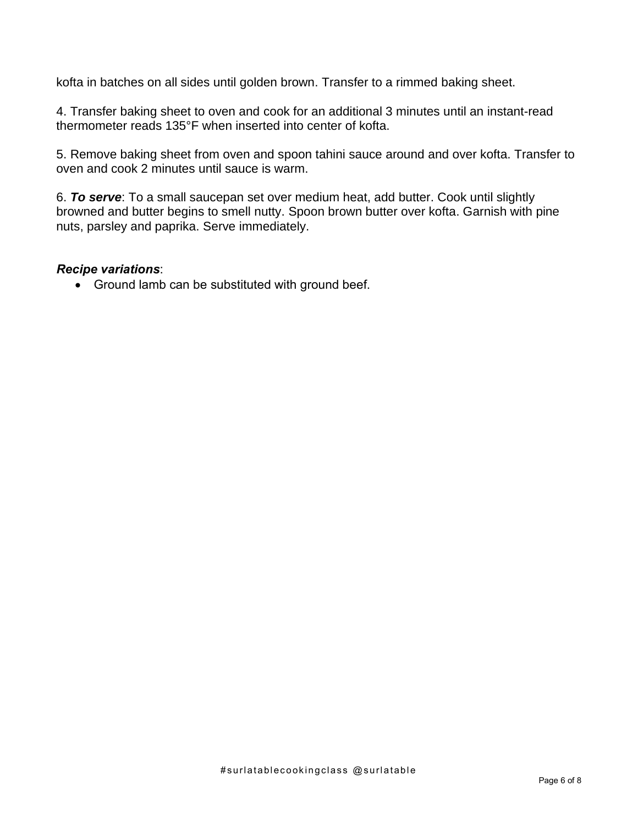kofta in batches on all sides until golden brown. Transfer to a rimmed baking sheet.

4. Transfer baking sheet to oven and cook for an additional 3 minutes until an instant-read thermometer reads 135°F when inserted into center of kofta.

5. Remove baking sheet from oven and spoon tahini sauce around and over kofta. Transfer to oven and cook 2 minutes until sauce is warm.

6. *To serve*: To a small saucepan set over medium heat, add butter. Cook until slightly browned and butter begins to smell nutty. Spoon brown butter over kofta. Garnish with pine nuts, parsley and paprika. Serve immediately.

#### *Recipe variations*:

• Ground lamb can be substituted with ground beef.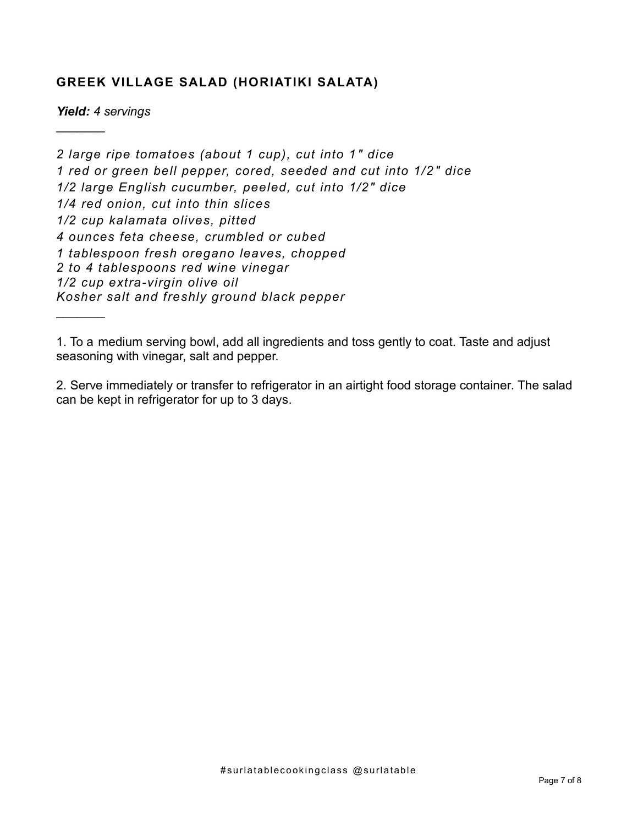#### **GREEK VILLAGE SALAD (HORIATIKI SALATA)**

*Yield: 4 servings*

 $\frac{1}{2}$ 

 $\frac{1}{2}$ 

*2 large ripe tomatoes (about 1 cup), cut into 1 " dice 1 red or green bell pepper, cored, seeded and cut into 1/2 " dice 1/2 large English cucumber, peeled, cut into 1/2" dice 1/4 red onion, cut into thin slices 1/2 cup kalamata olives, pitted 4 ounces feta cheese, crumbled or cubed 1 tablespoon fresh oregano leaves, chopped 2 to 4 tablespoons red wine vinegar 1/2 cup extra-virgin olive oil Kosher salt and freshly ground black pepper*

1. To a medium serving bowl, add all ingredients and toss gently to coat. Taste and adjust seasoning with vinegar, salt and pepper.

2. Serve immediately or transfer to refrigerator in an airtight food storage container. The salad can be kept in refrigerator for up to 3 days.